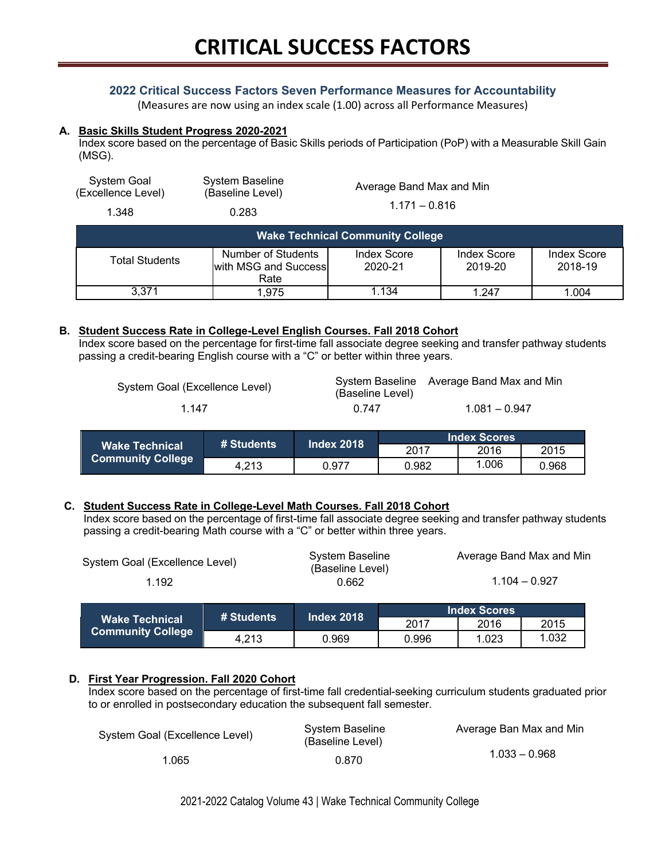### **2022 Critical Success Factors Seven Performance Measures for Accountability**

(Measures are now using an index scale (1.00) across all Performance Measures)

#### **A. Basic Skills Student Progress 2020-2021**

Index score based on the percentage of Basic Skills periods of Participation (PoP) with a Measurable Skill Gain (MSG).

| System Goal<br>(Excellence Level)       | <b>System Baseline</b><br>(Baseline Level)         | Average Band Max and Min<br>$1.171 - 0.816$ |                        |                               |  |
|-----------------------------------------|----------------------------------------------------|---------------------------------------------|------------------------|-------------------------------|--|
| 1.348                                   | 0.283                                              |                                             |                        |                               |  |
| <b>Wake Technical Community College</b> |                                                    |                                             |                        |                               |  |
| <b>Total Students</b>                   | Number of Students<br>with MSG and Success<br>Rate | <b>Index Score</b><br>2020-21               | Index Score<br>2019-20 | <b>Index Score</b><br>2018-19 |  |
| 3.371                                   | 1,975                                              | 1.134                                       | 1.247                  | 1.004                         |  |

#### **B. Student Success Rate in College-Level English Courses. Fall 2018 Cohort**

Index score based on the percentage for first-time fall associate degree seeking and transfer pathway students passing a credit-bearing English course with a "C" or better within three years.

| System Goal (Excellence Level) | (Baseline Level) | System Baseline Average Band Max and Min |
|--------------------------------|------------------|------------------------------------------|
| 1 147                          | በ 747            | $1.081 - 0.947$                          |

| <b>Wake Technical</b><br><b>Community College</b> | # Students | <b>Index 2018</b> |                      |       |       |  |
|---------------------------------------------------|------------|-------------------|----------------------|-------|-------|--|
|                                                   |            |                   | 2016<br>2015<br>2017 |       |       |  |
|                                                   | 4.213      | 0.977             | 0.982                | 1.006 | 0.968 |  |

#### **C. Student Success Rate in College-Level Math Courses. Fall 2018 Cohort**

Index score based on the percentage of first-time fall associate degree seeking and transfer pathway students passing a credit-bearing Math course with a "C" or better within three years.

| System Goal (Excellence Level) | System Baseline<br>(Baseline Level) | Average Band Max and Min |
|--------------------------------|-------------------------------------|--------------------------|
| 1.192                          | 0.662                               | $1.104 - 0.927$          |

|                                                   | <b>⊯ Students</b> ' | Index 2018 \ |       | <b>Index Scores</b><br>2016 |       |  |
|---------------------------------------------------|---------------------|--------------|-------|-----------------------------|-------|--|
| <b>Wake Technical</b><br><b>Community College</b> |                     |              | 2017  | 2015                        |       |  |
|                                                   | 4.213               | 0.969        | 0.996 | 1.023                       | 1.032 |  |

#### **D. First Year Progression. Fall 2020 Cohort**

Index score based on the percentage of first-time fall credential-seeking curriculum students graduated prior to or enrolled in postsecondary education the subsequent fall semester.

| System Goal (Excellence Level) | System Baseline<br>(Baseline Level) | Average Ban Max and Min |
|--------------------------------|-------------------------------------|-------------------------|
| 1.065                          | 0.870                               | $1.033 - 0.968$         |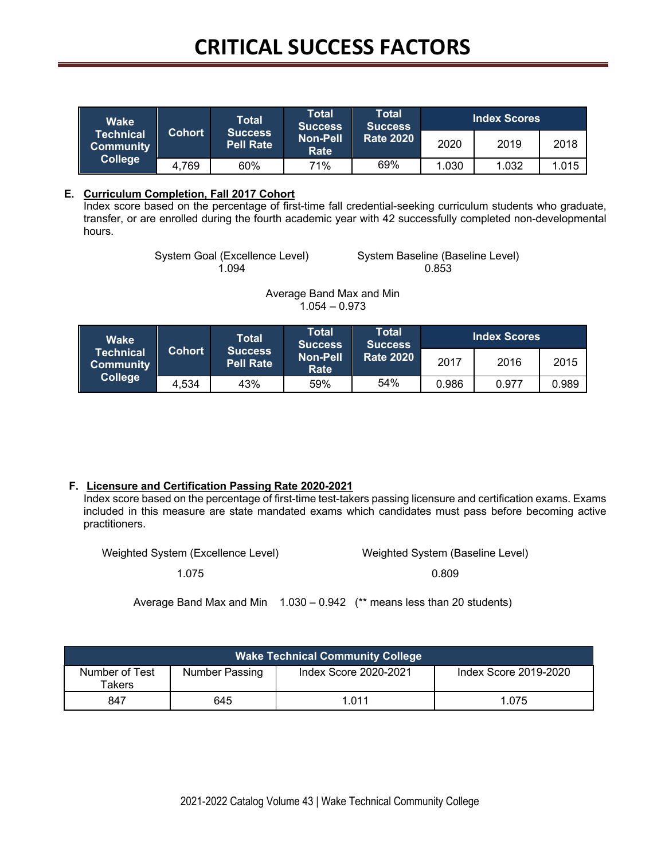# **CRITICAL SUCCESS FACTORS**

| <b>Wake</b>                          |        | <b>Total</b>                       | Total<br><b>Success</b> | Total<br><b>Success</b><br><b>Rate 2020</b> |       | <b>Index Scores</b> |       |
|--------------------------------------|--------|------------------------------------|-------------------------|---------------------------------------------|-------|---------------------|-------|
| <b>Technical</b><br><b>Community</b> | Cohort | <b>Success</b><br><b>Pell Rate</b> | <b>Non-Pell</b><br>Rate |                                             | 2020  | 2019                | 2018  |
| <b>College</b>                       | 4,769  | 60%                                | 71%                     | 69%                                         | 1.030 | 1.032               | 1.015 |

#### **E. Curriculum Completion, Fall 2017 Cohort**

Index score based on the percentage of first-time fall credential-seeking curriculum students who graduate, transfer, or are enrolled during the fourth academic year with 42 successfully completed non-developmental hours.

System Goal (Excellence Level) System Baseline (Baseline Level)

1.094 0.853

Average Band Max and Min  $1.054 - 0.973$ 

| <b>Wake</b>                          |               | Total                              | Total<br><b>Success</b> | Total<br><b>Success</b><br><b>Rate 2020</b> |       | <b>Index Scores</b> |       |
|--------------------------------------|---------------|------------------------------------|-------------------------|---------------------------------------------|-------|---------------------|-------|
| <b>Technical</b><br><b>Community</b> | <b>Cohort</b> | <b>Success</b><br><b>Pell Rate</b> | <b>Non-Pell</b><br>Rate |                                             | 2017  | 2016                | 2015  |
| <b>College</b>                       | 4,534         | 43%                                | 59%                     | 54%                                         | 0.986 | 0.977               | 0.989 |

## **F. Licensure and Certification Passing Rate 2020-2021**

Index score based on the percentage of first-time test-takers passing licensure and certification exams. Exams included in this measure are state mandated exams which candidates must pass before becoming active practitioners.

Weighted System (Excellence Level) Weighted System (Baseline Level)

1.075 0.809

Average Band Max and Min 1.030 – 0.942 (\*\* means less than 20 students)

| <b>Wake Technical Community College</b> |                |                       |                       |  |  |  |
|-----------------------------------------|----------------|-----------------------|-----------------------|--|--|--|
| Number of Test<br>Takers                | Number Passing | Index Score 2020-2021 | Index Score 2019-2020 |  |  |  |
| 847                                     | 645            | 1.011                 | 1.075                 |  |  |  |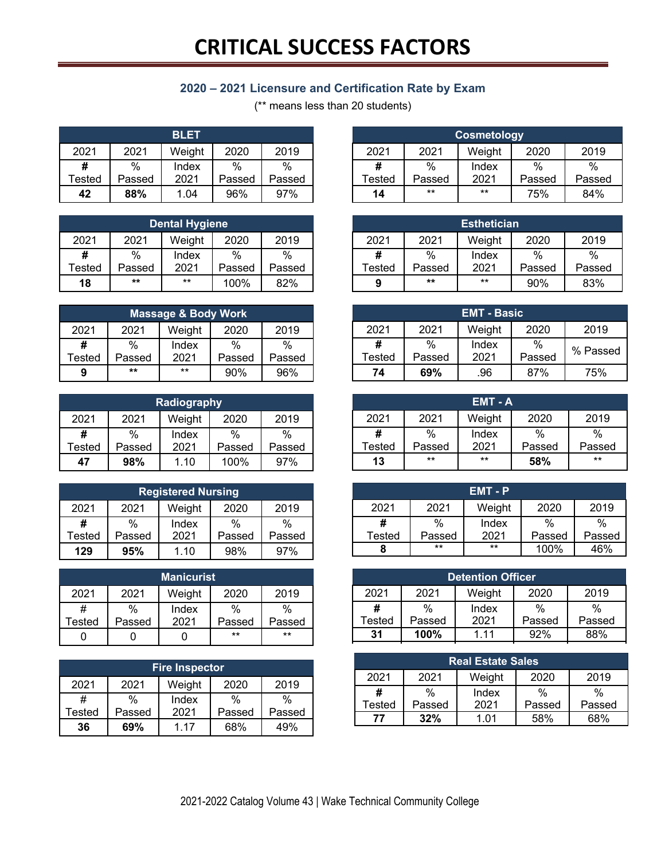# **2020 – 2021 Licensure and Certification Rate by Exam**

(\*\* means less than 20 students)

| <b>BLET</b> |        |        |        |        |  |
|-------------|--------|--------|--------|--------|--|
| 2021        | 2021   | Weight | 2020   | 2019   |  |
| #           | %      | Index  | %      | %      |  |
| Tested      | Passed | 2021   | Passed | Passed |  |
| 42          | 88%    | 1.04   | 96%    | 97%    |  |

| <b>Dental Hygiene</b>                  |        |       |        |        |  |
|----------------------------------------|--------|-------|--------|--------|--|
| 2020<br>2021<br>2021<br>2019<br>Weight |        |       |        |        |  |
| #                                      | %      | Index | %      | %      |  |
| Tested                                 | Passed | 2021  | Passed | Passed |  |
| 18                                     | $**$   | $***$ | 100%   | 82%    |  |

| <b>Massage &amp; Body Work</b>         |        |       |               |        |  |
|----------------------------------------|--------|-------|---------------|--------|--|
| 2021<br>2020<br>2021<br>Weight<br>2019 |        |       |               |        |  |
| #                                      | %      | Index | $\frac{0}{0}$ | %      |  |
| <b>Tested</b>                          | Passed | 2021  | Passed        | Passed |  |
| 9                                      | **     | $***$ | 90%           | 96%    |  |

| <b>Radiography</b>                     |                            |       |        |               |  |
|----------------------------------------|----------------------------|-------|--------|---------------|--|
| 2021<br>2020<br>2021<br>Weight<br>2019 |                            |       |        |               |  |
| #                                      | %                          | Index | $\%$   | $\frac{0}{0}$ |  |
| Tested                                 | Passed                     | 2021  | Passed | Passed        |  |
| 47                                     | 98%<br>100%<br>1.10<br>97% |       |        |               |  |

| <b>Registered Nursing</b>              |        |       |        |        |
|----------------------------------------|--------|-------|--------|--------|
| 2021<br>2020<br>2019<br>2021<br>Weight |        |       |        |        |
| #                                      | %      | Index | %      | %      |
| Tested                                 | Passed | 2021  | Passed | Passed |
| 129                                    | 95%    | 1.10  | 98%    | 97%    |

| <b>Manicurist</b> |        |        |        |        |
|-------------------|--------|--------|--------|--------|
| 2021              | 2021   | Weight | 2020   | 2019   |
| #                 | $\%$   | Index  | %      | %      |
| Tested            | Passed | 2021   | Passed | Passed |
|                   |        |        | $***$  | $***$  |

| <b>Fire Inspector</b> |        |        |        |        |
|-----------------------|--------|--------|--------|--------|
| 2021                  | 2021   | Weight | 2020   | 2019   |
| #                     | %      | Index  | %      | %      |
| Tested                | Passed | 2021   | Passed | Passed |
| 36                    | 69%    | 1 17   | 68%    | 49%    |

|        | <b>Cosmetology</b>             |       |        |        |  |
|--------|--------------------------------|-------|--------|--------|--|
| 2021   | 2021<br>2020<br>2019<br>Weight |       |        |        |  |
| #      | %                              | Index | %      | $\%$   |  |
| Tested | Passed                         | 2021  | Passed | Passed |  |
| 14     | $***$<br>$***$<br>75%<br>84%   |       |        |        |  |

| <b>Esthetician</b>                     |        |       |        |        |
|----------------------------------------|--------|-------|--------|--------|
| 2020<br>2021<br>2019<br>2021<br>Weight |        |       |        |        |
| #                                      | %      | Index | %      | %      |
| Tested                                 | Passed | 2021  | Passed | Passed |
| 9                                      | $***$  | $***$ | 90%    | 83%    |

| <b>EMT - Basic</b> |        |        |        |          |
|--------------------|--------|--------|--------|----------|
| 2021               | 2021   | Weight | 2020   | 2019     |
| #                  | %      | Index  | $\%$   | % Passed |
| <b>Tested</b>      | Passed | 2021   | Passed |          |
| 74                 | 69%    | .96    | 87%    | 75%      |

| EMT - A |        |        |               |        |
|---------|--------|--------|---------------|--------|
| 2021    | 2021   | Weight | 2020          | 2019   |
| #       | $\%$   | Index  | $\frac{0}{0}$ | %      |
| Tested  | Passed | 2021   | Passed        | Passed |
| 13      | $***$  | $***$  | 58%           | $***$  |

|               |        | EMT-P  |        |        |
|---------------|--------|--------|--------|--------|
| 2021          | 2021   | Weight | 2020   | 2019   |
| #             | %      | Index  | %      | %      |
| <b>Tested</b> | Passed | 2021   | Passed | Passed |
|               | $***$  | $**$   | 100%   | 46%    |

| <b>Detention Officer</b> |                                |       |        |        |
|--------------------------|--------------------------------|-------|--------|--------|
| 2021                     | 2019<br>2020<br>2021<br>Weight |       |        |        |
| #                        | %                              | Index | %      | %      |
| Tested                   | Passed                         | 2021  | Passed | Passed |
| 31                       | 100%                           | 111   | 92%    |        |

| <b>Real Estate Sales</b> |        |        |        |        |
|--------------------------|--------|--------|--------|--------|
| 2021                     | 2021   | Weight | 2020   | 2019   |
| #                        | %      | Index  | %      | %      |
| Tested                   | Passed | 2021   | Passed | Passed |
| 77                       | 32%    | 1 በ1   | 58%    | 68%    |